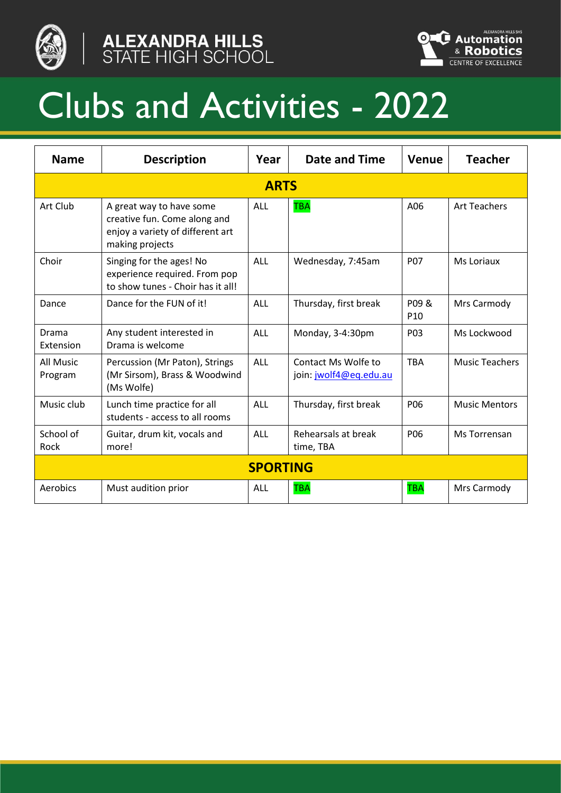





## Clubs and Activities - 2022

| <b>Name</b>          | <b>Description</b>                                                                                              | Year            | Date and Time                                 | Venue            | <b>Teacher</b>        |  |  |
|----------------------|-----------------------------------------------------------------------------------------------------------------|-----------------|-----------------------------------------------|------------------|-----------------------|--|--|
| <b>ARTS</b>          |                                                                                                                 |                 |                                               |                  |                       |  |  |
| Art Club             | A great way to have some<br>creative fun. Come along and<br>enjoy a variety of different art<br>making projects | ALL             | <b>TBA</b>                                    | A06              | <b>Art Teachers</b>   |  |  |
| Choir                | Singing for the ages! No<br>experience required. From pop<br>to show tunes - Choir has it all!                  | ALL             | Wednesday, 7:45am                             | <b>P07</b>       | Ms Loriaux            |  |  |
| Dance                | Dance for the FUN of it!                                                                                        | ALL             | Thursday, first break                         | P09&<br>P10      | Mrs Carmody           |  |  |
| Drama<br>Extension   | Any student interested in<br>Drama is welcome                                                                   | <b>ALL</b>      | Monday, 3-4:30pm                              | P <sub>0</sub> 3 | Ms Lockwood           |  |  |
| All Music<br>Program | Percussion (Mr Paton), Strings<br>(Mr Sirsom), Brass & Woodwind<br>(Ms Wolfe)                                   | ALL             | Contact Ms Wolfe to<br>join: jwolf4@eq.edu.au | <b>TBA</b>       | <b>Music Teachers</b> |  |  |
| Music club           | Lunch time practice for all<br>students - access to all rooms                                                   | ALL             | Thursday, first break                         | P06              | <b>Music Mentors</b>  |  |  |
| School of<br>Rock    | Guitar, drum kit, vocals and<br>more!                                                                           | ALL             | Rehearsals at break<br>time, TBA              | P06              | Ms Torrensan          |  |  |
|                      |                                                                                                                 | <b>SPORTING</b> |                                               |                  |                       |  |  |
| Aerobics             | Must audition prior                                                                                             | ALL             | <b>TBA</b>                                    | <b>TBA</b>       | Mrs Carmody           |  |  |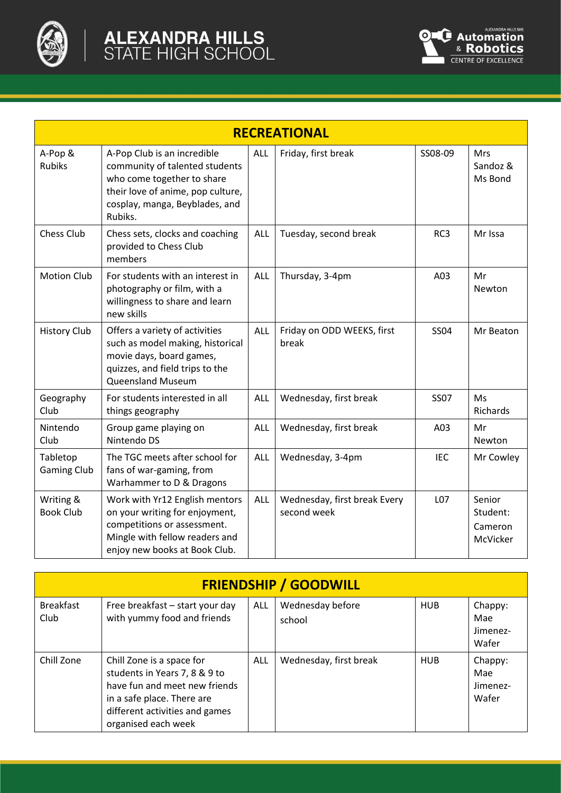

| <b>RECREATIONAL</b>            |                                                                                                                                                                               |            |                                             |             |                                           |  |  |
|--------------------------------|-------------------------------------------------------------------------------------------------------------------------------------------------------------------------------|------------|---------------------------------------------|-------------|-------------------------------------------|--|--|
| A-Pop &<br><b>Rubiks</b>       | A-Pop Club is an incredible<br>community of talented students<br>who come together to share<br>their love of anime, pop culture,<br>cosplay, manga, Beyblades, and<br>Rubiks. | ALL        | Friday, first break                         | SS08-09     | Mrs<br>Sandoz &<br>Ms Bond                |  |  |
| <b>Chess Club</b>              | Chess sets, clocks and coaching<br>provided to Chess Club<br>members                                                                                                          | ALL        | Tuesday, second break                       | RC3         | Mr Issa                                   |  |  |
| <b>Motion Club</b>             | For students with an interest in<br>photography or film, with a<br>willingness to share and learn<br>new skills                                                               | ALL        | Thursday, 3-4pm                             | A03         | Mr<br>Newton                              |  |  |
| <b>History Club</b>            | Offers a variety of activities<br>such as model making, historical<br>movie days, board games,<br>quizzes, and field trips to the<br><b>Queensland Museum</b>                 | ALL        | Friday on ODD WEEKS, first<br>break         | <b>SS04</b> | Mr Beaton                                 |  |  |
| Geography<br>Club              | For students interested in all<br>things geography                                                                                                                            | <b>ALL</b> | Wednesday, first break                      | <b>SS07</b> | Ms<br>Richards                            |  |  |
| Nintendo<br>Club               | Group game playing on<br>Nintendo DS                                                                                                                                          | ALL        | Wednesday, first break                      | A03         | Mr<br>Newton                              |  |  |
| Tabletop<br><b>Gaming Club</b> | The TGC meets after school for<br>fans of war-gaming, from<br>Warhammer to D & Dragons                                                                                        | ALL        | Wednesday, 3-4pm                            | <b>IEC</b>  | Mr Cowley                                 |  |  |
| Writing &<br><b>Book Club</b>  | Work with Yr12 English mentors<br>on your writing for enjoyment,<br>competitions or assessment.<br>Mingle with fellow readers and<br>enjoy new books at Book Club.            | ALL        | Wednesday, first break Every<br>second week | L07         | Senior<br>Student:<br>Cameron<br>McVicker |  |  |

| <b>FRIENDSHIP / GOODWILL</b> |                                                                                                                                                                                    |            |                            |            |                                     |  |
|------------------------------|------------------------------------------------------------------------------------------------------------------------------------------------------------------------------------|------------|----------------------------|------------|-------------------------------------|--|
| <b>Breakfast</b><br>Club     | Free breakfast - start your day<br>with yummy food and friends                                                                                                                     | <b>ALL</b> | Wednesday before<br>school | <b>HUB</b> | Chappy:<br>Mae<br>Jimenez-<br>Wafer |  |
| Chill Zone                   | Chill Zone is a space for<br>students in Years 7, 8 & 9 to<br>have fun and meet new friends<br>in a safe place. There are<br>different activities and games<br>organised each week | ALL        | Wednesday, first break     | <b>HUB</b> | Chappy:<br>Mae<br>Jimenez-<br>Wafer |  |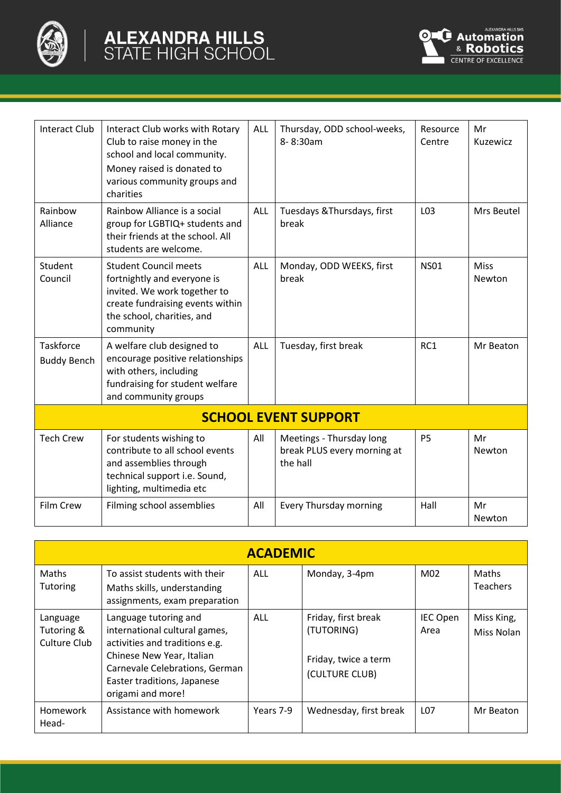



| <b>Interact Club</b>                   | Interact Club works with Rotary<br>Club to raise money in the<br>school and local community.<br>Money raised is donated to<br>various community groups and<br>charities    | <b>ALL</b> | Thursday, ODD school-weeks,<br>8-8:30am                             | Resource<br>Centre | Mr<br>Kuzewicz |  |  |
|----------------------------------------|----------------------------------------------------------------------------------------------------------------------------------------------------------------------------|------------|---------------------------------------------------------------------|--------------------|----------------|--|--|
| Rainbow<br>Alliance                    | Rainbow Alliance is a social<br>group for LGBTIQ+ students and<br>their friends at the school. All<br>students are welcome.                                                | <b>ALL</b> | Tuesdays & Thursdays, first<br>break                                | L03                | Mrs Beutel     |  |  |
| Student<br>Council                     | <b>Student Council meets</b><br>fortnightly and everyone is<br>invited. We work together to<br>create fundraising events within<br>the school, charities, and<br>community | <b>ALL</b> | Monday, ODD WEEKS, first<br>break                                   | <b>NS01</b>        | Miss<br>Newton |  |  |
| <b>Taskforce</b><br><b>Buddy Bench</b> | A welfare club designed to<br>encourage positive relationships<br>with others, including<br>fundraising for student welfare<br>and community groups                        | <b>ALL</b> | Tuesday, first break                                                | RC1                | Mr Beaton      |  |  |
| <b>SCHOOL EVENT SUPPORT</b>            |                                                                                                                                                                            |            |                                                                     |                    |                |  |  |
| <b>Tech Crew</b>                       | For students wishing to<br>contribute to all school events<br>and assemblies through<br>technical support i.e. Sound,<br>lighting, multimedia etc                          | All        | Meetings - Thursday long<br>break PLUS every morning at<br>the hall | <b>P5</b>          | Mr<br>Newton   |  |  |
| Film Crew                              | Filming school assemblies                                                                                                                                                  | All        | Every Thursday morning                                              | Hall               | Mr<br>Newton   |  |  |

| <b>ACADEMIC</b>                        |                                                                                                                                                                                                             |            |                                                                             |                         |                          |  |  |
|----------------------------------------|-------------------------------------------------------------------------------------------------------------------------------------------------------------------------------------------------------------|------------|-----------------------------------------------------------------------------|-------------------------|--------------------------|--|--|
| Maths<br><b>Tutoring</b>               | To assist students with their<br>Maths skills, understanding<br>assignments, exam preparation                                                                                                               | <b>ALL</b> | Monday, 3-4pm                                                               | M02                     | Maths<br><b>Teachers</b> |  |  |
| Language<br>Tutoring &<br>Culture Club | Language tutoring and<br>international cultural games,<br>activities and traditions e.g.<br>Chinese New Year, Italian<br>Carnevale Celebrations, German<br>Easter traditions, Japanese<br>origami and more! | <b>ALL</b> | Friday, first break<br>(TUTORING)<br>Friday, twice a term<br>(CULTURE CLUB) | <b>IEC Open</b><br>Area | Miss King,<br>Miss Nolan |  |  |
| <b>Homework</b><br>Head-               | Assistance with homework                                                                                                                                                                                    | Years 7-9  | Wednesday, first break                                                      | L <sub>07</sub>         | Mr Beaton                |  |  |